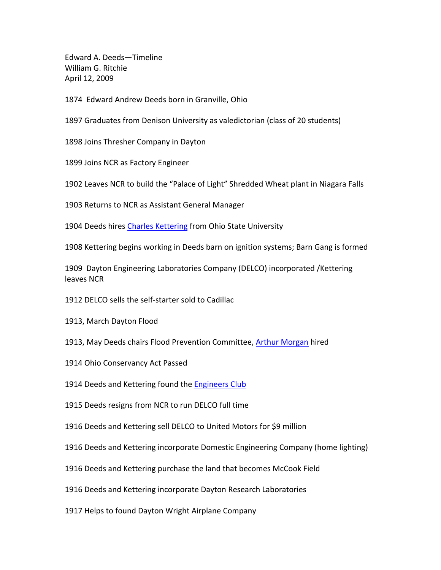Edward A. Deeds—Timeline William G. Ritchie April 12, 2009

1874 Edward Andrew Deeds born in Granville, Ohio

1897 Graduates from Denison University as valedictorian (class of 20 students)

1898 Joins Thresher Company in Dayton

1899 Joins NCR as Factory Engineer

1902 Leaves NCR to build the "Palace of Light" Shredded Wheat plant in Niagara Falls

1903 Returns to NCR as Assistant General Manager

1904 Deeds hires Charles Kettering from Ohio State University

1908 Kettering begins working in Deeds barn on ignition systems; Barn Gang is formed

1909 Dayton Engineering Laboratories Company (DELCO) incorporated /Kettering leaves NCR

1912 DELCO sells the self-starter sold to Cadillac

1913, March Dayton Flood

1913, May Deeds chairs Flood Prevention Committee, Arthur Morgan hired

1914 Ohio Conservancy Act Passed

1914 Deeds and Kettering found the Engineers Club

1915 Deeds resigns from NCR to run DELCO full time

1916 Deeds and Kettering sell DELCO to United Motors for \$9 million

1916 Deeds and Kettering incorporate Domestic Engineering Company (home lighting)

1916 Deeds and Kettering purchase the land that becomes McCook Field

1916 Deeds and Kettering incorporate Dayton Research Laboratories

1917 Helps to found Dayton Wright Airplane Company